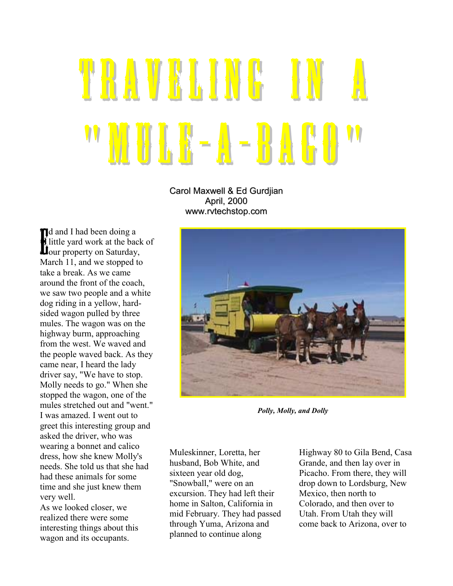## TRAVELINE IN " MULK-A-BAGO

Carol Maxwell & Ed Gurdjian April, 2000 www.rvtechstop.com

d and I had been doing a little yard work at the back of 1 and I had been doing a<br>Elittle yard work at the back<br>Dour property on Saturday, March 11, and we stopped to take a break. As we came around the front of the coach, we saw two people and a white dog riding in a yellow, hardsided wagon pulled by three mules. The wagon was on the highway burm, approaching from the west. We waved and the people waved back. As they came near, I heard the lady driver say, "We have to stop. Molly needs to go." When she stopped the wagon, one of the mules stretched out and "went." I was amazed. I went out to greet this interesting group and asked the driver, who was wearing a bonnet and calico dress, how she knew Molly's needs. She told us that she had had these animals for some time and she just knew them very well.

As we looked closer, we realized there were some interesting things about this wagon and its occupants.



*Polly, Molly, and Dolly*

Muleskinner, Loretta, her husband, Bob White, and sixteen year old dog, "Snowball," were on an excursion. They had left their home in Salton, California in mid February. They had passed through Yuma, Arizona and planned to continue along

Highway 80 to Gila Bend, Casa Grande, and then lay over in Picacho. From there, they will drop down to Lordsburg, New Mexico, then north to Colorado, and then over to Utah. From Utah they will come back to Arizona, over to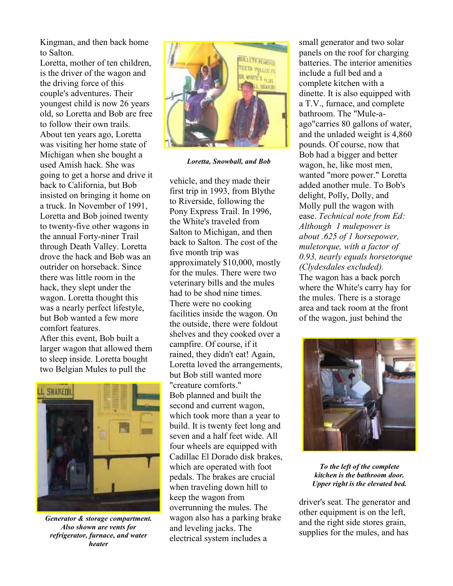Kingman, and then back home to Salton.

Loretta, mother of ten children. is the driver of the wagon and the driving force of this couple's adventures. Their youngest child is now 26 years old, so Loretta and Bob are free to follow their own trails. About ten years ago, Loretta was visiting her home state of Michigan when she bought a used Amish hack. She was going to get a horse and drive it back to California, but Bob insisted on bringing it home on a truck. In November of 1991, Loretta and Bob joined twenty to twenty-five other wagons in the annual Forty-niner Trail through Death Valley. Loretta drove the hack and Bob was an outrider on horseback. Since there was little room in the hack, they slept under the wagon. Loretta thought this was a nearly perfect lifestyle, but Bob wanted a few more comfort features.

After this event, Bob built a larger wagon that allowed them to sleep inside. Loretta bought two Belgian Mules to pull the



*Generator & storage compartment. Also shown are vents for refrigerator, furnace, and water heater*



*Loretta, Snowball, and Bob*

vehicle, and they made their first trip in 1993, from Blythe to Riverside, following the Pony Express Trail. In 1996, the White's traveled from Salton to Michigan, and then back to Salton. The cost of the five month trip was approximately \$10,000, mostly for the mules. There were two veterinary bills and the mules had to be shod nine times. There were no cooking facilities inside the wagon. On the outside, there were foldout shelves and they cooked over a campfire. Of course, if it rained, they didn't eat! Again, Loretta loved the arrangements, but Bob still wanted more "creature comforts." Bob planned and built the second and current wagon, which took more than a year to build. It is twenty feet long and seven and a half feet wide. All four wheels are equipped with Cadillac El Dorado disk brakes, which are operated with foot pedals. The brakes are crucial when traveling down hill to keep the wagon from overrunning the mules. The wagon also has a parking brake and leveling jacks. The electrical system includes a

small generator and two solar panels on the roof for charging batteries. The interior amenities include a full bed and a complete kitchen with a dinette. It is also equipped with a T.V., furnace, and complete bathroom. The "Mule-aago"carries 80 gallons of water, and the unladed weight is 4,860 pounds. Of course, now that Bob had a bigger and better wagon, he, like most men, wanted "more power." Loretta added another mule. To Bob's delight, Polly, Dolly, and Molly pull the wagon with ease. *Technical note from Ed: Although 1 mulepower is about .625 of 1 horsepower, muletorque, with a factor of 0.93, nearly equals horsetorque (Clydesdales excluded).* The wagon has a back porch where the White's carry hay for the mules. There is a storage area and tack room at the front of the wagon, just behind the



*To the left of the complete kitchen is the bathroom door. Upper right is the elevated bed.*

driver's seat. The generator and other equipment is on the left, and the right side stores grain, supplies for the mules, and has